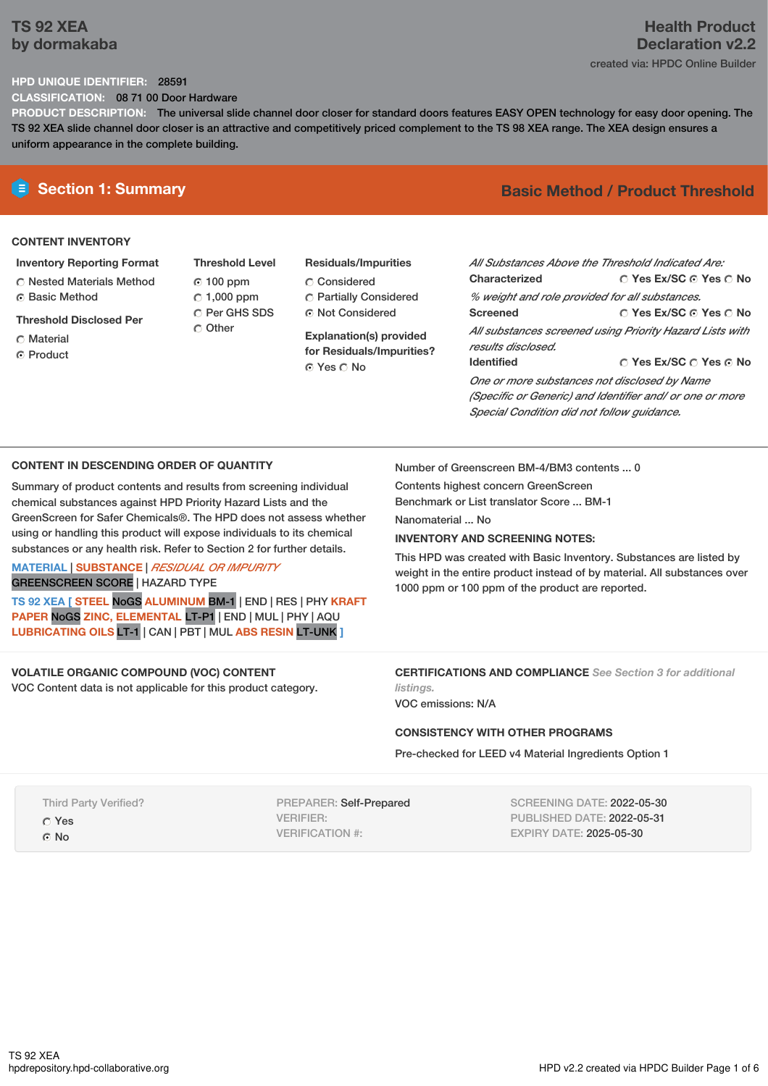# **TS 92 XEA by dormakaba**

# **Health Product Declaration v2.2** created via: HPDC Online Builder

#### **HPD UNIQUE IDENTIFIER:** 28591

**CLASSIFICATION:** 08 71 00 Door Hardware

**PRODUCT DESCRIPTION:** The universal slide channel door closer for standard doors features EASY OPEN technology for easy door opening. The TS 92 XEA slide channel door closer is an attractive and competitively priced complement to the TS 98 XEA range. The XEA design ensures a uniform appearance in the complete building.

### **CONTENT INVENTORY**

**Inventory Reporting Format**

Nested Materials Method **C** Basic Method

**Threshold Disclosed Per**

- Material
- **C** Product
- **Threshold Level** 100 ppm  $C$  1,000 ppm C Per GHS SDS Other
- **Residuals/Impurities** Considered Partially Considered Not Considered

**Explanation(s) provided for Residuals/Impurities?** © Yes ∩ No

# **E** Section 1: Summary **Basic Method / Product Threshold**

| All Substances Above the Threshold Indicated Are:        |                                        |  |  |  |  |
|----------------------------------------------------------|----------------------------------------|--|--|--|--|
|                                                          |                                        |  |  |  |  |
| Characterized                                            | ∩ Yes Ex/SC ∩ Yes ∩ No                 |  |  |  |  |
| % weight and role provided for all substances.           |                                        |  |  |  |  |
| <b>Screened</b>                                          | ∩ Yes Ex/SC ∩ Yes ∩ No                 |  |  |  |  |
| All substances screened using Priority Hazard Lists with |                                        |  |  |  |  |
| results disclosed.                                       |                                        |  |  |  |  |
| <b>Identified</b>                                        | $\cap$ Yes Ex/SC $\cap$ Yes $\odot$ No |  |  |  |  |
| One or more substances not disclosed by Name             |                                        |  |  |  |  |
| (Specific or Generic) and Identifier and/ or one or more |                                        |  |  |  |  |
| Special Condition did not follow quidance.               |                                        |  |  |  |  |

#### **CONTENT IN DESCENDING ORDER OF QUANTITY**

Summary of product contents and results from screening individual chemical substances against HPD Priority Hazard Lists and the GreenScreen for Safer Chemicals®. The HPD does not assess whether using or handling this product will expose individuals to its chemical substances or any health risk. Refer to Section 2 for further details.

**MATERIAL** | **SUBSTANCE** | *RESIDUAL OR IMPURITY* GREENSCREEN SCORE | HAZARD TYPE

**TS 92 XEA [ STEEL** NoGS **ALUMINUM** BM-1 | END | RES | PHY **KRAFT PAPER** NoGS **ZINC, ELEMENTAL** LT-P1 | END | MUL | PHY | AQU **LUBRICATING OILS** LT-1 | CAN | PBT | MUL **ABS RESIN** LT-UNK **]**

#### **VOLATILE ORGANIC COMPOUND (VOC) CONTENT**

VOC Content data is not applicable for this product category.

Number of Greenscreen BM-4/BM3 contents ... 0

Contents highest concern GreenScreen Benchmark or List translator Score ... BM-1

Nanomaterial ... No

#### **INVENTORY AND SCREENING NOTES:**

This HPD was created with Basic Inventory. Substances are listed by weight in the entire product instead of by material. All substances over 1000 ppm or 100 ppm of the product are reported.

#### **CERTIFICATIONS AND COMPLIANCE** *See Section 3 for additional listings.*

VOC emissions: N/A

#### **CONSISTENCY WITH OTHER PROGRAMS**

Pre-checked for LEED v4 Material Ingredients Option 1

Third Party Verified?

Yes

© No

PREPARER: Self-Prepared VERIFIER: VERIFICATION #:

SCREENING DATE: 2022-05-30 PUBLISHED DATE: 2022-05-31 EXPIRY DATE: 2025-05-30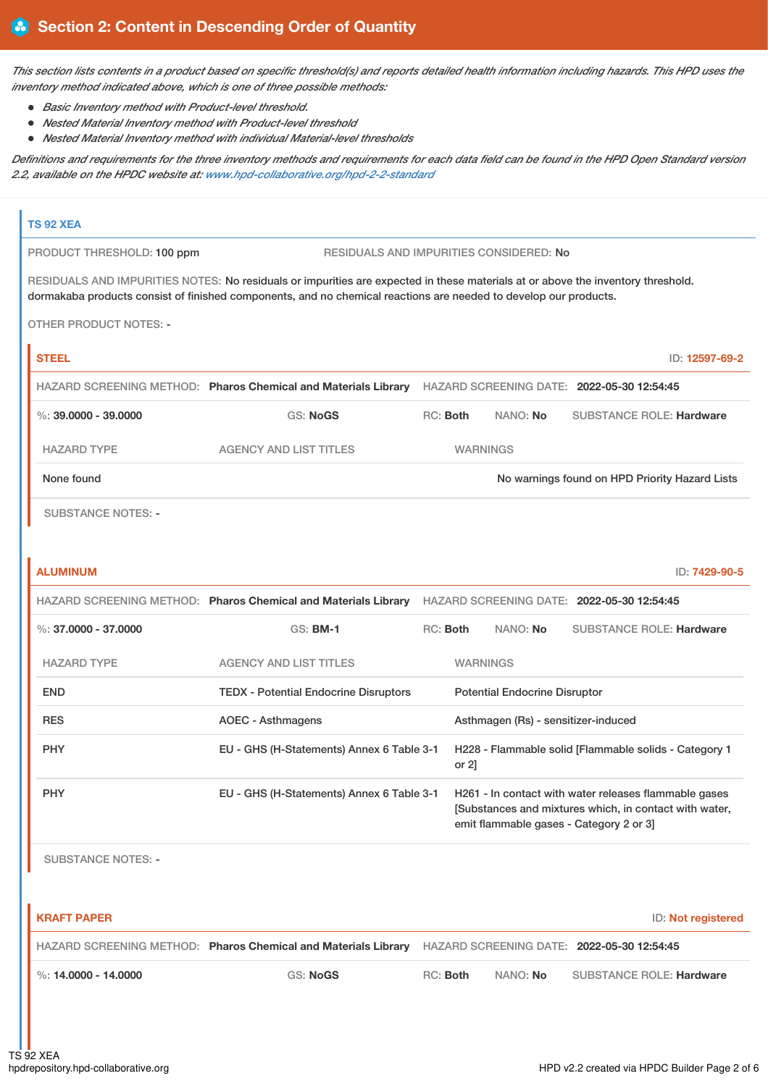This section lists contents in a product based on specific threshold(s) and reports detailed health information including hazards. This HPD uses the *inventory method indicated above, which is one of three possible methods:*

- *Basic Inventory method with Product-level threshold.*
- *Nested Material Inventory method with Product-level threshold*
- *Nested Material Inventory method with individual Material-level thresholds*

Definitions and requirements for the three inventory methods and requirements for each data field can be found in the HPD Open Standard version *2.2, available on the HPDC website at: [www.hpd-collaborative.org/hpd-2-2-standard](https://www.hpd-collaborative.org/hpd-2-2-standard)*

# **TS 92 XEA** PRODUCT THRESHOLD: 100 ppm RESIDUALS AND IMPURITIES CONSIDERED: No RESIDUALS AND IMPURITIES NOTES: No residuals or impurities are expected in these materials at or above the inventory threshold. dormakaba products consist of finished components, and no chemical reactions are needed to develop our products. OTHER PRODUCT NOTES: - **STEEL** ID: **12597-69-2** HAZARD SCREENING METHOD: **Pharos Chemical and Materials Library** HAZARD SCREENING DATE: **2022-05-30 12:54:45** %: **39.0000 - 39.0000** GS: **NoGS** RC: **Both** NANO: **No** SUBSTANCE ROLE: **Hardware** HAZARD TYPE AGENCY AND LIST TITLES WARNINGS None found Now arrings found on HPD Priority Hazard Lists

SUBSTANCE NOTES: -

| <b>ALUMINUM</b>      |                                                                |          |                                                                   |          |                                                                                                                                                            | ID: 7429-90-5 |
|----------------------|----------------------------------------------------------------|----------|-------------------------------------------------------------------|----------|------------------------------------------------------------------------------------------------------------------------------------------------------------|---------------|
|                      | HAZARD SCREENING METHOD: Pharos Chemical and Materials Library |          |                                                                   |          | HAZARD SCREENING DATE: 2022-05-30 12:54:45                                                                                                                 |               |
| %: 37,0000 - 37,0000 | GS: <b>BM-1</b>                                                | RC: Both |                                                                   | NANO: No | <b>SUBSTANCE ROLE: Hardware</b>                                                                                                                            |               |
| <b>HAZARD TYPE</b>   | <b>AGENCY AND LIST TITLES</b>                                  |          | <b>WARNINGS</b>                                                   |          |                                                                                                                                                            |               |
| <b>END</b>           | <b>TEDX - Potential Endocrine Disruptors</b>                   |          | <b>Potential Endocrine Disruptor</b>                              |          |                                                                                                                                                            |               |
| <b>RES</b>           | <b>AOEC - Asthmagens</b>                                       |          | Asthmagen (Rs) - sensitizer-induced                               |          |                                                                                                                                                            |               |
| <b>PHY</b>           | EU - GHS (H-Statements) Annex 6 Table 3-1                      |          | H228 - Flammable solid [Flammable solids - Category 1<br>or $2$ ] |          |                                                                                                                                                            |               |
| <b>PHY</b>           | EU - GHS (H-Statements) Annex 6 Table 3-1                      |          |                                                                   |          | H261 - In contact with water releases flammable gases<br>[Substances and mixtures which, in contact with water,<br>emit flammable gases - Category 2 or 3] |               |

SUBSTANCE NOTES: -

| <b>I KRAFT PAPER</b>     |                                                                                                           |          |                 | ID: Not registered              |
|--------------------------|-----------------------------------------------------------------------------------------------------------|----------|-----------------|---------------------------------|
|                          | HAZARD SCREENING METHOD: Pharos Chemical and Materials Library HAZARD SCREENING DATE: 2022-05-30 12:54:45 |          |                 |                                 |
| $\%$ : 14.0000 - 14.0000 | GS: NoGS                                                                                                  | RC: Both | NANO: <b>No</b> | <b>SUBSTANCE ROLE: Hardware</b> |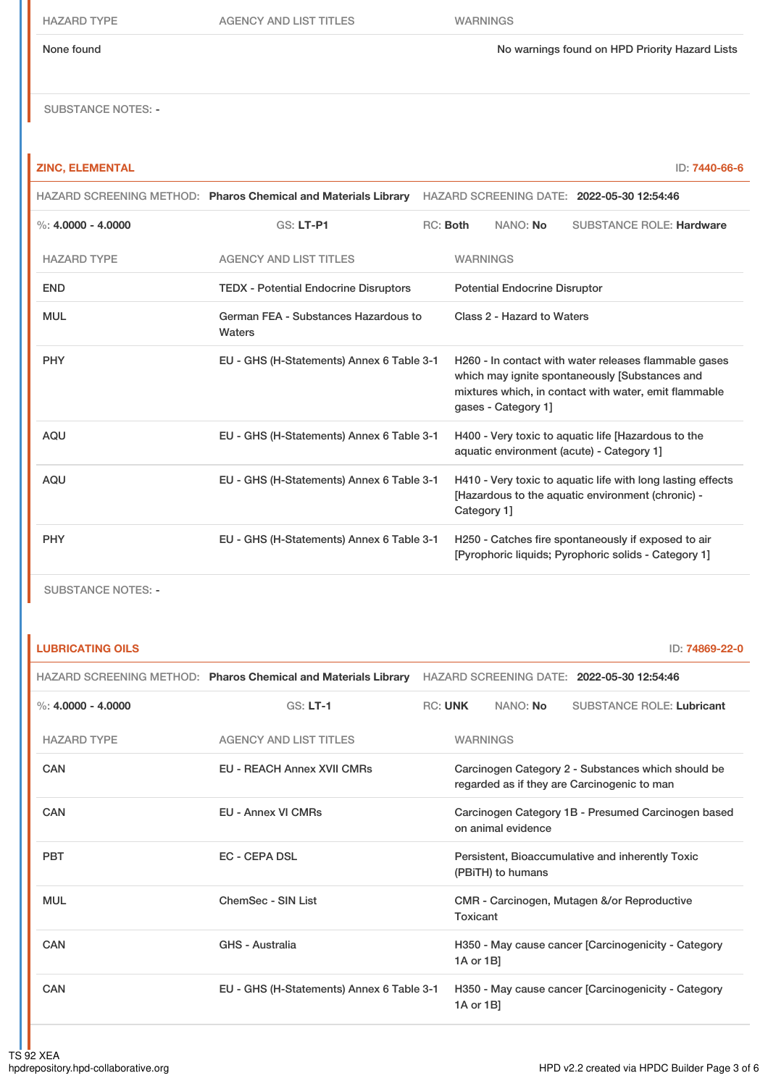#### None found No warnings found on HPD Priority Hazard Lists

SUBSTANCE NOTES: -

### **ZINC, ELEMENTAL** ID: **7440-66-6**

|                      | HAZARD SCREENING METHOD: Pharos Chemical and Materials Library |          |                 |                                      | HAZARD SCREENING DATE: 2022-05-30 12:54:46                                                                                                                       |
|----------------------|----------------------------------------------------------------|----------|-----------------|--------------------------------------|------------------------------------------------------------------------------------------------------------------------------------------------------------------|
| %: $4.0000 - 4.0000$ | <b>GS: LT-P1</b>                                               | RC: Both |                 | NANO: No                             | <b>SUBSTANCE ROLE: Hardware</b>                                                                                                                                  |
| <b>HAZARD TYPE</b>   | <b>AGENCY AND LIST TITLES</b>                                  |          | <b>WARNINGS</b> |                                      |                                                                                                                                                                  |
| <b>END</b>           | <b>TEDX - Potential Endocrine Disruptors</b>                   |          |                 | <b>Potential Endocrine Disruptor</b> |                                                                                                                                                                  |
| <b>MUL</b>           | German FEA - Substances Hazardous to<br>Waters                 |          |                 | Class 2 - Hazard to Waters           |                                                                                                                                                                  |
| <b>PHY</b>           | EU - GHS (H-Statements) Annex 6 Table 3-1                      |          |                 | gases - Category 1]                  | H260 - In contact with water releases flammable gases<br>which may ignite spontaneously [Substances and<br>mixtures which, in contact with water, emit flammable |
| <b>AQU</b>           | EU - GHS (H-Statements) Annex 6 Table 3-1                      |          |                 |                                      | H400 - Very toxic to aquatic life [Hazardous to the<br>aquatic environment (acute) - Category 1]                                                                 |
| <b>AQU</b>           | EU - GHS (H-Statements) Annex 6 Table 3-1                      |          | Category 1]     |                                      | H410 - Very toxic to aquatic life with long lasting effects<br>[Hazardous to the aquatic environment (chronic) -                                                 |
| <b>PHY</b>           | EU - GHS (H-Statements) Annex 6 Table 3-1                      |          |                 |                                      | H250 - Catches fire spontaneously if exposed to air<br>[Pyrophoric liquids: Pyrophoric solids - Category 1]                                                      |

SUBSTANCE NOTES: -

**LUBRICATING OILS** ID: **74869-22-0**

|                      |                                           | HAZARD SCREENING METHOD: Pharos Chemical and Materials Library HAZARD SCREENING DATE: 2022-05-30 12:54:46 |                 |                    |                                                                                                   |  |
|----------------------|-------------------------------------------|-----------------------------------------------------------------------------------------------------------|-----------------|--------------------|---------------------------------------------------------------------------------------------------|--|
| %: $4.0000 - 4.0000$ | $GS: LT-1$                                |                                                                                                           | <b>RC: UNK</b>  | NANO: No           | <b>SUBSTANCE ROLE: Lubricant</b>                                                                  |  |
| <b>HAZARD TYPE</b>   | <b>AGENCY AND LIST TITLES</b>             |                                                                                                           | <b>WARNINGS</b> |                    |                                                                                                   |  |
| CAN                  | <b>EU - REACH Annex XVII CMRs</b>         |                                                                                                           |                 |                    | Carcinogen Category 2 - Substances which should be<br>regarded as if they are Carcinogenic to man |  |
| CAN                  | <b>EU - Annex VI CMRs</b>                 |                                                                                                           |                 | on animal evidence | Carcinogen Category 1B - Presumed Carcinogen based                                                |  |
| <b>PBT</b>           | <b>EC - CEPA DSL</b>                      |                                                                                                           |                 | (PBITH) to humans  | Persistent, Bioaccumulative and inherently Toxic                                                  |  |
| <b>MUL</b>           | ChemSec - SIN List                        |                                                                                                           | Toxicant        |                    | CMR - Carcinogen, Mutagen &/or Reproductive                                                       |  |
| CAN                  | GHS - Australia                           |                                                                                                           | 1A or 1B]       |                    | H350 - May cause cancer [Carcinogenicity - Category                                               |  |
| CAN                  | EU - GHS (H-Statements) Annex 6 Table 3-1 |                                                                                                           | 1A or 1B]       |                    | H350 - May cause cancer [Carcinogenicity - Category                                               |  |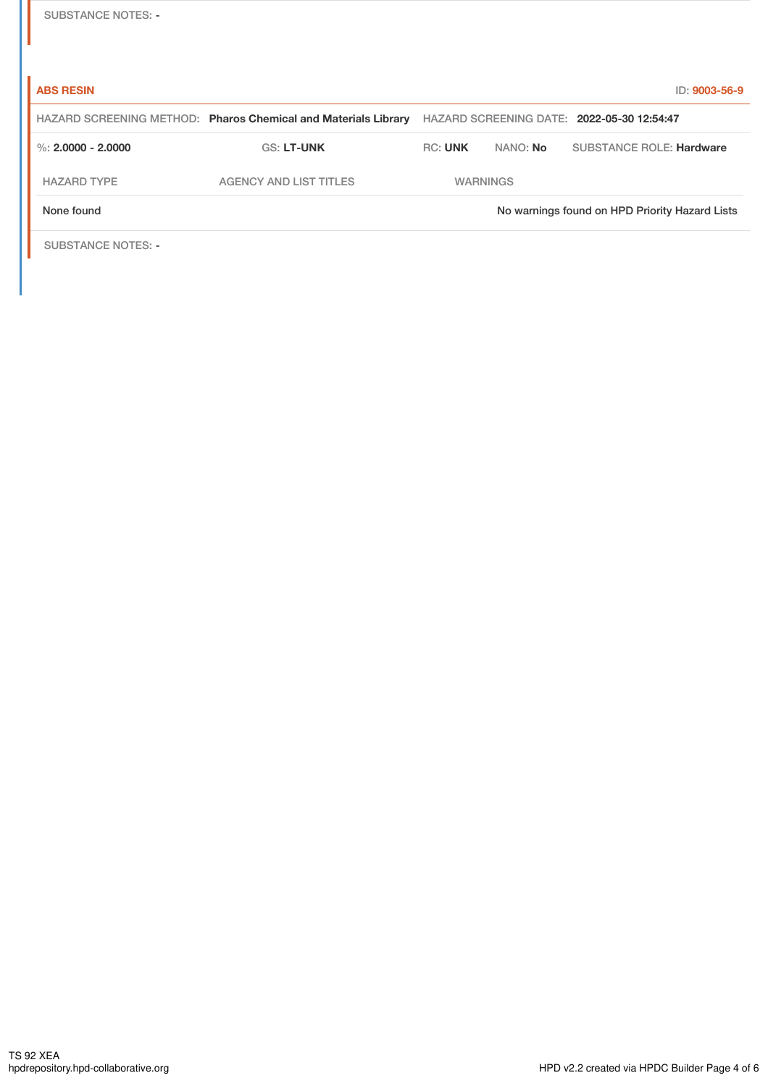| <b>SUBSTANCE NOTES: -</b> |  |
|---------------------------|--|
|---------------------------|--|

| <b>ABS RESIN</b>          |                                                                |                 |                 | ID: 9003-56-9                                  |
|---------------------------|----------------------------------------------------------------|-----------------|-----------------|------------------------------------------------|
|                           | HAZARD SCREENING METHOD: Pharos Chemical and Materials Library |                 |                 | HAZARD SCREENING DATE: 2022-05-30 12:54:47     |
| %: $2.0000 - 2.0000$      | <b>GS: LT-UNK</b>                                              | <b>RC: UNK</b>  | NANO: <b>No</b> | <b>SUBSTANCE ROLE: Hardware</b>                |
| <b>HAZARD TYPE</b>        | <b>AGENCY AND LIST TITLES</b>                                  | <b>WARNINGS</b> |                 |                                                |
| None found                |                                                                |                 |                 | No warnings found on HPD Priority Hazard Lists |
| <b>SUBSTANCE NOTES: -</b> |                                                                |                 |                 |                                                |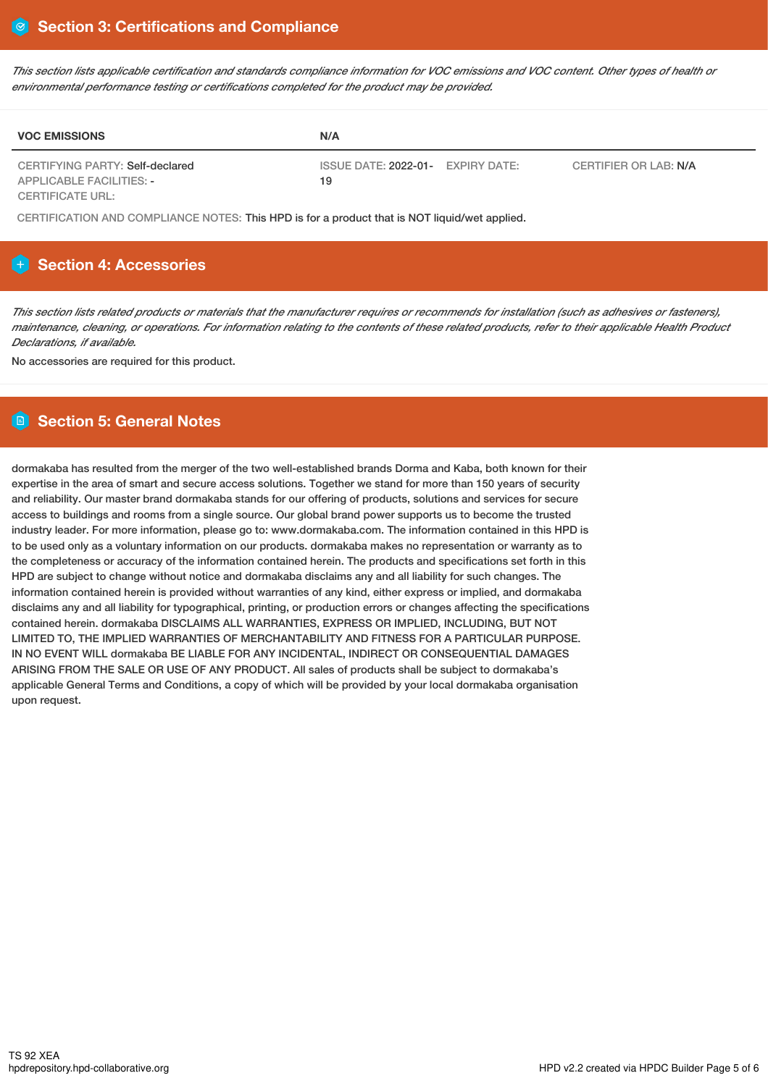This section lists applicable certification and standards compliance information for VOC emissions and VOC content. Other types of health or *environmental performance testing or certifications completed for the product may be provided.*

| <b>VOC EMISSIONS</b>                                        | N/A                                               |                       |
|-------------------------------------------------------------|---------------------------------------------------|-----------------------|
| CERTIFYING PARTY: Self-declared<br>APPLICABLE FACILITIES: - | ISSUE DATE: 2022-01-<br><b>EXPIRY DATE:</b><br>19 | CERTIFIER OR LAB: N/A |
| CERTIFICATE URL:                                            |                                                   |                       |

CERTIFICATION AND COMPLIANCE NOTES: This HPD is for a product that is NOT liquid/wet applied.

# **H** Section 4: Accessories

This section lists related products or materials that the manufacturer requires or recommends for installation (such as adhesives or fasteners), maintenance, cleaning, or operations. For information relating to the contents of these related products, refer to their applicable Health Product *Declarations, if available.*

No accessories are required for this product.

# **Section 5: General Notes**

dormakaba has resulted from the merger of the two well-established brands Dorma and Kaba, both known for their expertise in the area of smart and secure access solutions. Together we stand for more than 150 years of security and reliability. Our master brand dormakaba stands for our offering of products, solutions and services for secure access to buildings and rooms from a single source. Our global brand power supports us to become the trusted industry leader. For more information, please go to: www.dormakaba.com. The information contained in this HPD is to be used only as a voluntary information on our products. dormakaba makes no representation or warranty as to the completeness or accuracy of the information contained herein. The products and specifications set forth in this HPD are subject to change without notice and dormakaba disclaims any and all liability for such changes. The information contained herein is provided without warranties of any kind, either express or implied, and dormakaba disclaims any and all liability for typographical, printing, or production errors or changes affecting the specifications contained herein. dormakaba DISCLAIMS ALL WARRANTIES, EXPRESS OR IMPLIED, INCLUDING, BUT NOT LIMITED TO, THE IMPLIED WARRANTIES OF MERCHANTABILITY AND FITNESS FOR A PARTICULAR PURPOSE. IN NO EVENT WILL dormakaba BE LIABLE FOR ANY INCIDENTAL, INDIRECT OR CONSEQUENTIAL DAMAGES ARISING FROM THE SALE OR USE OF ANY PRODUCT. All sales of products shall be subject to dormakaba's applicable General Terms and Conditions, a copy of which will be provided by your local dormakaba organisation upon request.